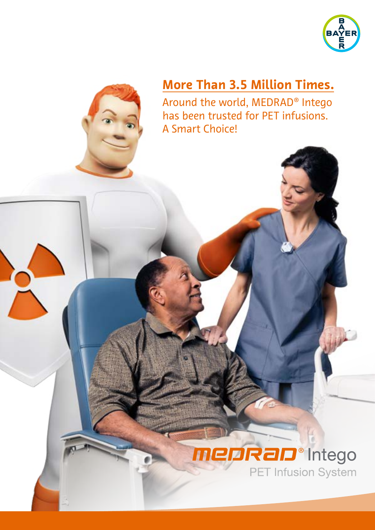

## **More Than 3.5 Million Times.**

Around the world, MEDRAD® Intego has been trusted for PET infusions. A Smart Choice!